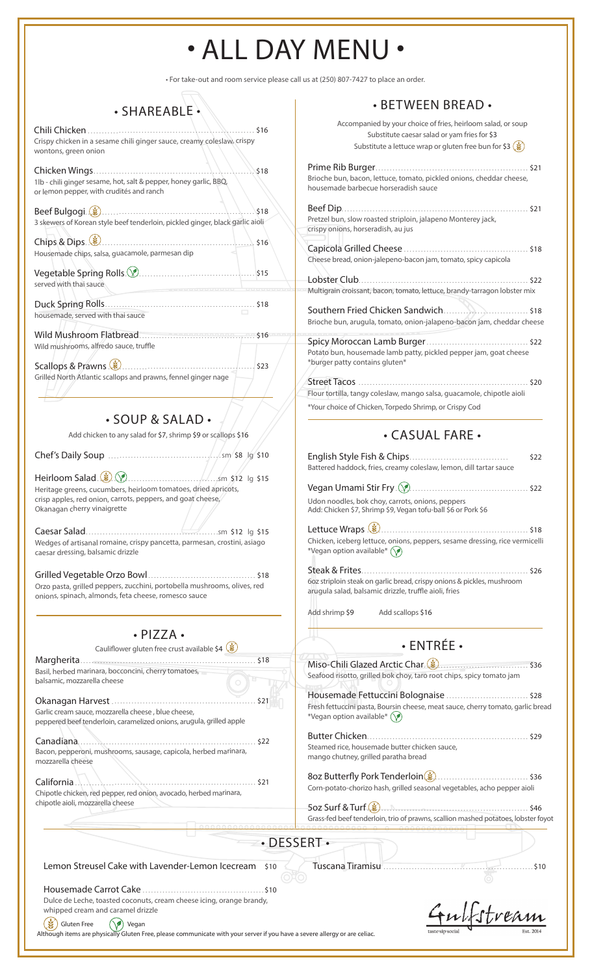# • ALL DAY MENU •

• For take-out and room service please call us at (250) 807-7427 to place an order.

### • SHAREABLE

Chili Chicken . . . . . . . . . . . . . . . . . . . . . . . . . . . . . . . . . . . . . . . . . . . . . . . . . . . . . . . . . . \$16 Crispy chicken in a sesame chili ginger sauce, creamy coleslaw, crispy wontons, green onion

| 1lb - chili ginger sesame, hot, salt & pepper, honey garlic, BBQ,<br>or lemon pepper, with crudités and ranch                                                                                                                                                                                                                                                                                              | \$18 |
|------------------------------------------------------------------------------------------------------------------------------------------------------------------------------------------------------------------------------------------------------------------------------------------------------------------------------------------------------------------------------------------------------------|------|
|                                                                                                                                                                                                                                                                                                                                                                                                            | \$18 |
| 3 skewers of Korean style beef tenderloin, pickled ginger, black garlic aioli                                                                                                                                                                                                                                                                                                                              |      |
| Chips & Dips $\left($ $\right)$ $\cdots$ $\left($ $\right)$ $\cdots$ $\left($ $\right)$ $\left($ $\right)$ $\left($ $\right)$ $\left($ $\right)$ $\left($ $\right)$ $\left($ $\right)$ $\left($ $\right)$ $\left($ $\right)$ $\left($ $\right)$ $\left($ $\right)$ $\left($ $\right)$ $\left($ $\right)$ $\left($ $\right)$ $\left($ $\right)$ $\left($<br>Housemade chips, salsa, guacamole, parmesan dip |      |
|                                                                                                                                                                                                                                                                                                                                                                                                            |      |
| served with thai sauce                                                                                                                                                                                                                                                                                                                                                                                     |      |
| housemade, served with thai sauce                                                                                                                                                                                                                                                                                                                                                                          |      |
| Wild Mushroom Elathread                                                                                                                                                                                                                                                                                                                                                                                    | \$16 |

Wild mushrooms, alfredo sauce, truffle

Scallops & Prawns . . . . . . . . . . . . . . . . . . . . . . . . . . . . . . . . . . . . . . . . . . . . . . . . . . . . \$23 Grilled North Atlantic scallops and prawns, fennel ginger nage

• SOUP & SALAD •

|  | Add chicken to any salad for \$7, shrimp \$9 or scallops \$16 |  |
|--|---------------------------------------------------------------|--|
|--|---------------------------------------------------------------|--|

Chef's Daily Soup . . . . . . . . . . . . . . . . . . . . . . . . . . . . . . . . . . . . . . . sm \$8 lg \$10

Heirloom Salad . . . . . . . . . . . . . . . . . . . . . . . . . . . . . . . . . . . . . . . . . . sm \$12 lg \$15 Heritage greens, cucumbers, heirloom tomatoes, dried apricots, crisp apples, red onion, carrots, peppers, and goat cheese, Okanagan cherry vinaigrette

Caesar Salad . . . . . . . . . . . . . . . . . . . . . . . . . . . . . . . . . . . . . . . . . . . . . . sm \$12 lg \$15 Wedges of artisanal romaine, crispy pancetta, parmesan, crostini, asiago caesar dressing, balsamic drizzle

Grilled Vegetable Orzo Bowl . . . . . . . . . . . . . . . . . . . . . . . . . . . . . . . . . . . . . . \$18 Orzo pasta, grilled peppers, zucchini, portobella mushrooms, olives, red onions, spinach, almonds, feta cheese, romesco sauce

#### • PIZZA •

Cauliflower gluten free crust available \$4 Margherita . . . . . . . . . . . . . . . . . . . . . . . . . . . . . . . . . . . . . . . . . . . . . . . . . . . . . . . . . . . . . . \$18 Basil, herbed marinara, bocconcini, cherry tomatoes, balsamic, mozzarella cheese

Okanagan Harvest . . . . . . . . . . . . . . . . . . . . . . . . . . . . . . . . . . . . . . . . . . . . . . . . . . . \$21 Garlic cream sauce, mozzarella cheese , blue cheese, peppered beef tenderloin, caramelized onions, arugula, grilled apple

Canadiana............................................................... \$22 Bacon, pepperoni, mushrooms, sausage, capicola, herbed marinara, mozzarella cheese

California . . . . . . . . . . . . . . . . . . . . . . . . . . . . . . . . . . . . . . . . . . . . . . . . . . . . . . . . . . . . . . . \$21 Chipotle chicken, red pepper, red onion, avocado, herbed marinara, chipotle aioli, mozzarella cheese

### • BETWEEN BREAD •

| Accompanied by your choice of fries, heirloom salad, or soup<br>Substitute caesar salad or yam fries for \$3<br>Substitute a lettuce wrap or gluten free bun for \$3 $(\frac{2}{3})$ |
|--------------------------------------------------------------------------------------------------------------------------------------------------------------------------------------|
| Brioche bun, bacon, lettuce, tomato, pickled onions, cheddar cheese,<br>housemade barbecue horseradish sauce                                                                         |
| Beef Dip.<br>. \$21<br>Pretzel bun, slow roasted striploin, jalapeno Monterey jack,<br>crispy onions, horseradish, au jus                                                            |
| Cheese bread, onion-jalepeno-bacon jam, tomato, spicy capicola                                                                                                                       |
| Multigrain croissant, bacon, tomato, lettuce, brandy-tarragon lobster mix                                                                                                            |
| Southern Fried Chicken Sandwich \$18<br>Brioche bun, arugula, tomato, onion-jalapeno-bacon jam, cheddar cheese                                                                       |
| Potato bun, housemade lamb patty, pickled pepper jam, goat cheese<br>*burger patty contains gluten*                                                                                  |
| <b>Street Tacos</b><br>.520<br>Flour tortilla, tangy coleslaw, mango salsa, guacamole, chipotle aioli                                                                                |
| *Your choice of Chicken, Torpedo Shrimp, or Crispy Cod                                                                                                                               |

### • CASUAL FARE •

|                                                                                                                                 | Battered haddock, fries, creamy coleslaw, lemon, dill tartar sauce                                                | \$22 |
|---------------------------------------------------------------------------------------------------------------------------------|-------------------------------------------------------------------------------------------------------------------|------|
|                                                                                                                                 |                                                                                                                   |      |
|                                                                                                                                 | Udon noodles, bok choy, carrots, onions, peppers<br>Add: Chicken \$7, Shrimp \$9, Vegan tofu-ball \$6 or Pork \$6 |      |
| *Vegan option available* (                                                                                                      | Chicken, iceberg lettuce, onions, peppers, sesame dressing, rice vermicelli                                       |      |
|                                                                                                                                 |                                                                                                                   |      |
| 60z striploin steak on garlic bread, crispy onions & pickles, mushroom<br>arugula salad, balsamic drizzle, truffle aioli, fries |                                                                                                                   |      |
| Add shrimp \$9                                                                                                                  | Add scallops \$16                                                                                                 |      |
|                                                                                                                                 |                                                                                                                   |      |

# • ENTRÉE •

Miso-Chili Glazed Arctic Char . . . . . . . . . . . . . . . . . . . . . . . . . . . . . . . . . . . . . \$36 Seafood risotto, grilled bok choy, taro root chips, spicy tomato jam

Housemade Fettuccini Bolognaise . . . . . . . . . . . . . . . . . . . . . . . . . . . . . \$28 Fresh fettuccini pasta, Boursin cheese, meat sauce, cherry tomato, garlic bread \*Vegan option available\*  $\circled{?}$ 

Butter Chicken . . . . . . . . . . . . . . . . . . . . . . . . . . . . . . . . . . . . . . . . . . . . . . . . . . . . . . . . . \$29 Steamed rice, housemade butter chicken sauce, mango chutney, grilled paratha bread

8oz Butterfly Pork Tenderloin . . . . . . . . . . . . . . . . . . . . . . . . . . . . . . . . . . . . . \$36 Corn-potato-chorizo hash, grilled seasonal vegetables, acho pepper aioli

5oz Surf & Turf . . . . . . . . . . . . . . . . . . . . . . . . . . . . . . . . . . . . . . . . . . . . . . . . . . . . . . . . . \$46 Grass-fed beef tenderloin, trio of prawns, scallion mashed potatoes, lobster foyot

Tuscana Tiramisu . . . . . . . . . . . . . . . . . . . . . . . . . . . . . . . . . . . . . . . . . . . . . . . . . . . . . \$10

Lemon Streusel Cake with Lavender-Lemon Icecream \$10

Housemade Carrot Cake . . . . . . . . . . . . . . . . . . . . . . . . . . . . . . . . . . . . . . . . . . . \$10 Dulce de Leche, toasted coconuts, cream cheese icing, orange brandy, whipped cream and caramel drizzle

 $\left(\bigstar\right)$  Gluten Free  $\left(\bigstar\right)$  Vegan

ulfstream

Although items are physically Gluten Free, please communicate with your server if you have a severe allergy or are celiac.

• DESSERT •